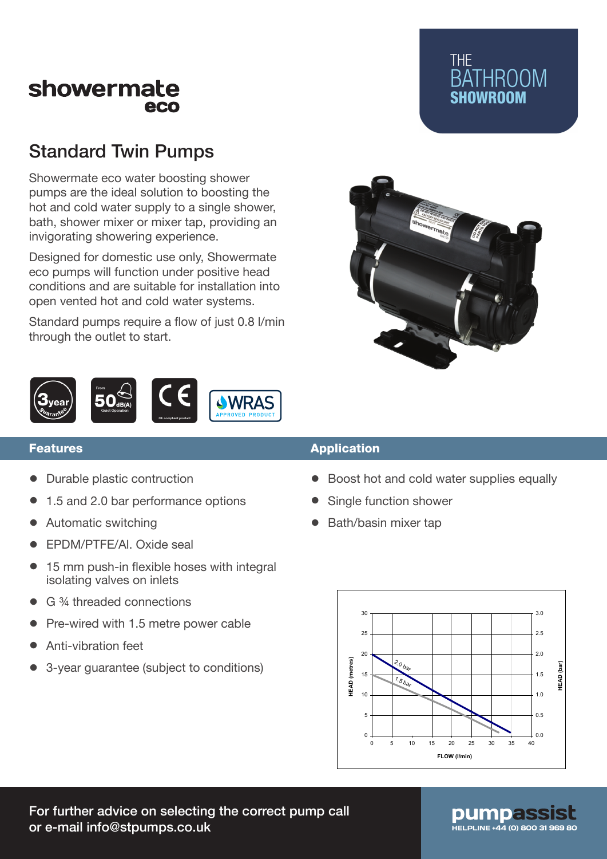## showermate eco

# Standard Twin Pumps

Showermate eco water boosting shower pumps are the ideal solution to boosting the hot and cold water supply to a single shower, bath, shower mixer or mixer tap, providing an invigorating showering experience.

Designed for domestic use only, Showermate eco pumps will function under positive head conditions and are suitable for installation into open vented hot and cold water systems.

Standard pumps require a flow of just 0.8 l/min through the outlet to start.



#### Features

- Durable plastic contruction
- 1.5 and 2.0 bar performance options
- Automatic switching
- EPDM/PTFE/Al. Oxide seal
- 15 mm push-in flexible hoses with integral isolating valves on inlets
- G ¾ threaded connections
- Pre-wired with 1.5 metre power cable
- Anti-vibration feet
- 3-year guarantee (subject to conditions)

#### Application

- Boost hot and cold water supplies equally
- Single function shower
- Bath/basin mixer tap



**BATHROOM** SHOWROOM

**THE** 

For further advice on selecting the correct pump call or e-mail info@stpumps.co.uk https://www.assett.com/www.assett.com/www.assett.com/www.assett.com/www.assett.com

# pumpas